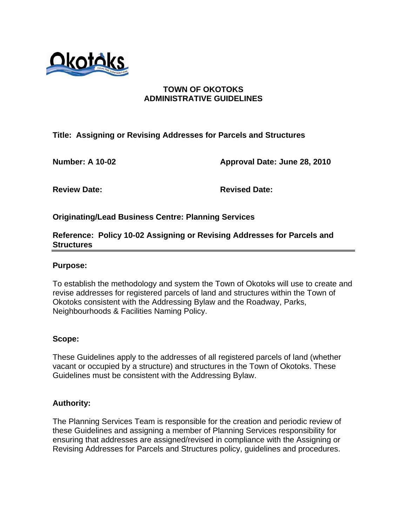

# **TOWN OF OKOTOKS ADMINISTRATIVE GUIDELINES**

**Title: Assigning or Revising Addresses for Parcels and Structures** 

**Number: A 10-02 Approval Date: June 28, 2010** 

**Review Date: Revised Date:** 

**Originating/Lead Business Centre: Planning Services** 

## **Reference: Policy 10-02 Assigning or Revising Addresses for Parcels and Structures**

### **Purpose:**

To establish the methodology and system the Town of Okotoks will use to create and revise addresses for registered parcels of land and structures within the Town of Okotoks consistent with the Addressing Bylaw and the Roadway, Parks, Neighbourhoods & Facilities Naming Policy.

#### **Scope:**

These Guidelines apply to the addresses of all registered parcels of land (whether vacant or occupied by a structure) and structures in the Town of Okotoks. These Guidelines must be consistent with the Addressing Bylaw.

## **Authority:**

The Planning Services Team is responsible for the creation and periodic review of these Guidelines and assigning a member of Planning Services responsibility for ensuring that addresses are assigned/revised in compliance with the Assigning or Revising Addresses for Parcels and Structures policy, guidelines and procedures.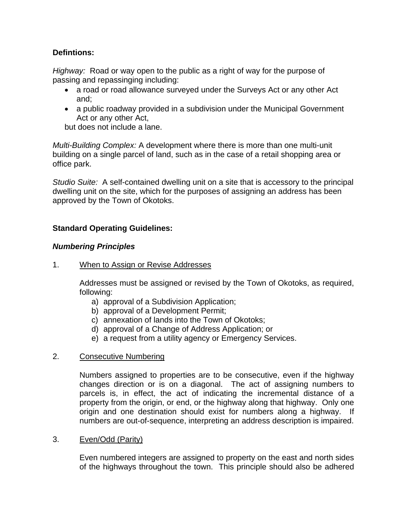# **Defintions:**

*Highway:* Road or way open to the public as a right of way for the purpose of passing and repassinging including:

- a road or road allowance surveyed under the Surveys Act or any other Act and;
- a public roadway provided in a subdivision under the Municipal Government Act or any other Act,

but does not include a lane.

*Multi-Building Complex:* A development where there is more than one multi-unit building on a single parcel of land, such as in the case of a retail shopping area or office park.

*Studio Suite:* A self-contained dwelling unit on a site that is accessory to the principal dwelling unit on the site, which for the purposes of assigning an address has been approved by the Town of Okotoks.

# **Standard Operating Guidelines:**

## *Numbering Principles*

1. When to Assign or Revise Addresses

Addresses must be assigned or revised by the Town of Okotoks, as required, following:

- a) approval of a Subdivision Application;
- b) approval of a Development Permit;
- c) annexation of lands into the Town of Okotoks;
- d) approval of a Change of Address Application; or
- e) a request from a utility agency or Emergency Services.

## 2. Consecutive Numbering

Numbers assigned to properties are to be consecutive, even if the highway changes direction or is on a diagonal. The act of assigning numbers to parcels is, in effect, the act of indicating the incremental distance of a property from the origin, or end, or the highway along that highway. Only one origin and one destination should exist for numbers along a highway. If numbers are out-of-sequence, interpreting an address description is impaired.

## 3. Even/Odd (Parity)

 Even numbered integers are assigned to property on the east and north sides of the highways throughout the town. This principle should also be adhered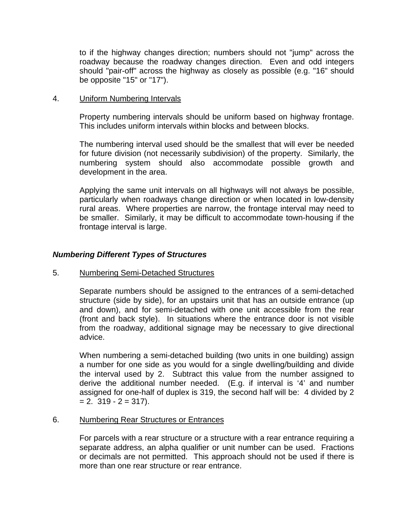to if the highway changes direction; numbers should not "jump" across the roadway because the roadway changes direction. Even and odd integers should "pair-off" across the highway as closely as possible (e.g. "16" should be opposite "15" or "17").

### 4. Uniform Numbering Intervals

Property numbering intervals should be uniform based on highway frontage. This includes uniform intervals within blocks and between blocks.

The numbering interval used should be the smallest that will ever be needed for future division (not necessarily subdivision) of the property. Similarly, the numbering system should also accommodate possible growth and development in the area.

Applying the same unit intervals on all highways will not always be possible, particularly when roadways change direction or when located in low-density rural areas. Where properties are narrow, the frontage interval may need to be smaller. Similarly, it may be difficult to accommodate town-housing if the frontage interval is large.

## *Numbering Different Types of Structures*

#### 5. Numbering Semi-Detached Structures

Separate numbers should be assigned to the entrances of a semi-detached structure (side by side), for an upstairs unit that has an outside entrance (up and down), and for semi-detached with one unit accessible from the rear (front and back style). In situations where the entrance door is not visible from the roadway, additional signage may be necessary to give directional advice.

When numbering a semi-detached building (two units in one building) assign a number for one side as you would for a single dwelling/building and divide the interval used by 2. Subtract this value from the number assigned to derive the additional number needed. (E.g. if interval is '4' and number assigned for one-half of duplex is 319, the second half will be: 4 divided by 2  $= 2.319 - 2 = 317$ ).

#### 6. Numbering Rear Structures or Entrances

For parcels with a rear structure or a structure with a rear entrance requiring a separate address, an alpha qualifier or unit number can be used. Fractions or decimals are not permitted. This approach should not be used if there is more than one rear structure or rear entrance.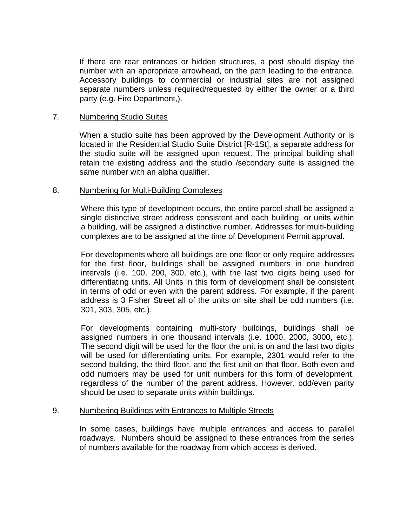If there are rear entrances or hidden structures, a post should display the number with an appropriate arrowhead, on the path leading to the entrance. Accessory buildings to commercial or industrial sites are not assigned separate numbers unless required/requested by either the owner or a third party (e.g. Fire Department,).

#### 7. Numbering Studio Suites

When a studio suite has been approved by the Development Authority or is located in the Residential Studio Suite District [R-1St], a separate address for the studio suite will be assigned upon request. The principal building shall retain the existing address and the studio /secondary suite is assigned the same number with an alpha qualifier.

#### 8. Numbering for Multi-Building Complexes

Where this type of development occurs, the entire parcel shall be assigned a single distinctive street address consistent and each building, or units within a building, will be assigned a distinctive number. Addresses for multi-building complexes are to be assigned at the time of Development Permit approval.

For developments where all buildings are one floor or only require addresses for the first floor, buildings shall be assigned numbers in one hundred intervals (i.e. 100, 200, 300, etc.), with the last two digits being used for differentiating units. All Units in this form of development shall be consistent in terms of odd or even with the parent address. For example, if the parent address is 3 Fisher Street all of the units on site shall be odd numbers (i.e. 301, 303, 305, etc.).

For developments containing multi-story buildings, buildings shall be assigned numbers in one thousand intervals (i.e. 1000, 2000, 3000, etc.). The second digit will be used for the floor the unit is on and the last two digits will be used for differentiating units. For example, 2301 would refer to the second building, the third floor, and the first unit on that floor. Both even and odd numbers may be used for unit numbers for this form of development, regardless of the number of the parent address. However, odd/even parity should be used to separate units within buildings.

#### 9. Numbering Buildings with Entrances to Multiple Streets

In some cases, buildings have multiple entrances and access to parallel roadways. Numbers should be assigned to these entrances from the series of numbers available for the roadway from which access is derived.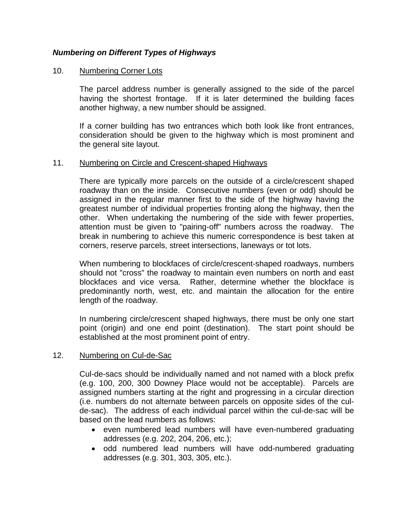# *Numbering on Different Types of Highways*

### 10. Numbering Corner Lots

The parcel address number is generally assigned to the side of the parcel having the shortest frontage. If it is later determined the building faces another highway, a new number should be assigned.

If a corner building has two entrances which both look like front entrances, consideration should be given to the highway which is most prominent and the general site layout.

#### 11. Numbering on Circle and Crescent-shaped Highways

There are typically more parcels on the outside of a circle/crescent shaped roadway than on the inside. Consecutive numbers (even or odd) should be assigned in the regular manner first to the side of the highway having the greatest number of individual properties fronting along the highway, then the other. When undertaking the numbering of the side with fewer properties, attention must be given to "pairing-off" numbers across the roadway. The break in numbering to achieve this numeric correspondence is best taken at corners, reserve parcels, street intersections, laneways or tot lots.

When numbering to blockfaces of circle/crescent-shaped roadways, numbers should not "cross" the roadway to maintain even numbers on north and east blockfaces and vice versa. Rather, determine whether the blockface is predominantly north, west, etc. and maintain the allocation for the entire length of the roadway.

In numbering circle/crescent shaped highways, there must be only one start point (origin) and one end point (destination). The start point should be established at the most prominent point of entry.

#### 12. Numbering on Cul-de-Sac

Cul-de-sacs should be individually named and not named with a block prefix (e.g. 100, 200, 300 Downey Place would not be acceptable). Parcels are assigned numbers starting at the right and progressing in a circular direction (i.e. numbers do not alternate between parcels on opposite sides of the culde-sac). The address of each individual parcel within the cul-de-sac will be based on the lead numbers as follows:

- even numbered lead numbers will have even-numbered graduating addresses (e.g. 202, 204, 206, etc.);
- odd numbered lead numbers will have odd-numbered graduating addresses (e.g. 301, 303, 305, etc.).